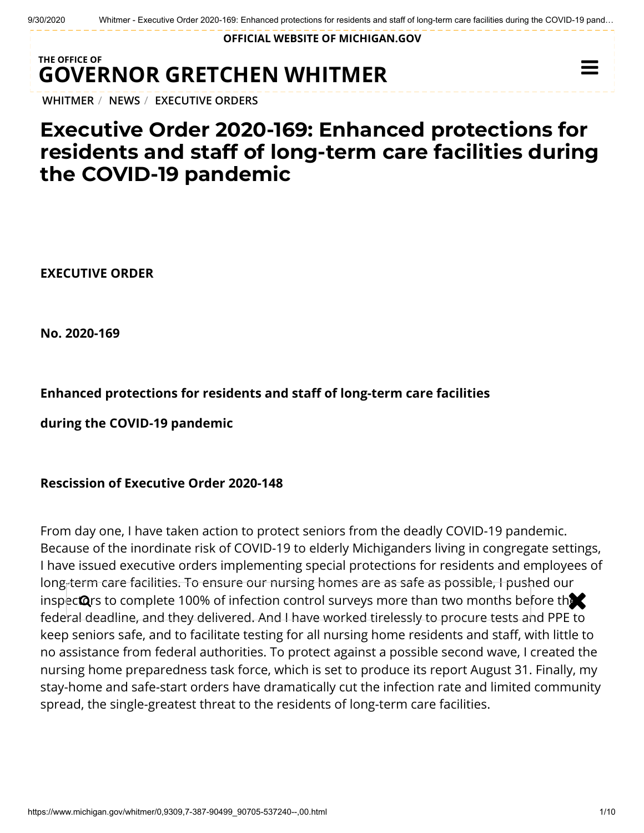**OFFICIAL WEBSITE OF [MICHIGAN.GOV](https://www.michigan.gov/)**

### **THE OFFICE OF GOVERNOR [GRETCHEN WHITMER](https://www.michigan.gov/whitmer/)**

**[WHITMER](https://www.michigan.gov/whitmer/)** / **[NEWS](https://www.michigan.gov/whitmer/0,9309,7-387-90499---,00.html)** / **[EXECUTIVE ORDERS](https://www.michigan.gov/whitmer/0,9309,7-387-90499_90705---,00.html)**

## **Executive Order 2020-169: Enhanced protections for residents and staff of long-term care facilities during the COVID-19 pandemic**

**EXECUTIVE ORDER**

**No. 2020-169**

**Enhanced protections for residents and staff of long-term care facilities** 

**during the COVID-19 pandemic**

#### **Rescission of Executive Order 2020-148**

From day one, I have taken action to protect seniors from the deadly COVID-19 pandemic. Because of the inordinate risk of COVID-19 to elderly Michiganders living in congregate settings, I have issued executive orders implementing special protections for residents and employees of long-term care facilities. To ensure our nursing homes are as safe as possible, I pushed our inspectors to complete 100% of infection control surveys more than two months before the federal deadline, and they delivered. And I have worked tirelessly to procure tests and PPE to keep seniors safe, and to facilitate testing for all nursing home residents and staff, with little to no assistance from federal authorities. To protect against a possible second wave, I created the nursing home preparedness task force, which is set to produce its report August 31. Finally, my stay-home and safe-start orders have dramatically cut the infection rate and limited community spread, the single-greatest threat to the residents of long-term care facilities.

 $\equiv$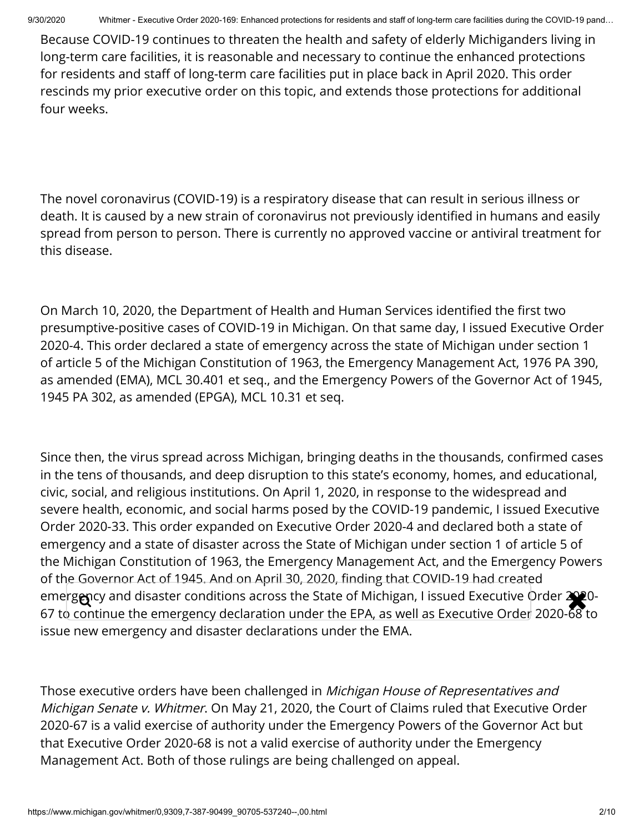Because COVID-19 continues to threaten the health and safety of elderly Michiganders living in long-term care facilities, it is reasonable and necessary to continue the enhanced protections for residents and staff of long-term care facilities put in place back in April 2020. This order rescinds my prior executive order on this topic, and extends those protections for additional four weeks.

The novel coronavirus (COVID-19) is a respiratory disease that can result in serious illness or death. It is caused by a new strain of coronavirus not previously identified in humans and easily spread from person to person. There is currently no approved vaccine or antiviral treatment for this disease.

On March 10, 2020, the Department of Health and Human Services identified the first two presumptive-positive cases of COVID-19 in Michigan. On that same day, I issued Executive Order 2020-4. This order declared a state of emergency across the state of Michigan under section 1 of article 5 of the Michigan Constitution of 1963, the Emergency Management Act, 1976 PA 390, as amended (EMA), MCL 30.401 et seq., and the Emergency Powers of the Governor Act of 1945, 1945 PA 302, as amended (EPGA), MCL 10.31 et seq.

Since then, the virus spread across Michigan, bringing deaths in the thousands, confirmed cases in the tens of thousands, and deep disruption to this state's economy, homes, and educational, civic, social, and religious institutions. On April 1, 2020, in response to the widespread and severe health, economic, and social harms posed by the COVID-19 pandemic, I issued Executive Order 2020-33. This order expanded on Executive Order 2020-4 and declared both a state of emergency and a state of disaster across the State of Michigan under section 1 of article 5 of the Michigan Constitution of 1963, the Emergency Management Act, and the Emergency Powers of the Governor Act of 1945. And on April 30, 2020, finding that COVID-19 had created emergency and disaster conditions across the State of Michigan, I issued Executive Order 2020-<br>67 to continue the emergency declaration under the EBA, as well as Executive Order 2020, 68 to 67 to continue the emergency declaration under the EPA, as well as Executive Order 2020-68 to issue new emergency and disaster declarations under the EMA.

Those executive orders have been challenged in *Michigan House of Representatives and* Michigan Senate v. Whitmer. On May 21, 2020, the Court of Claims ruled that Executive Order 2020-67 is a valid exercise of authority under the Emergency Powers of the Governor Act but that Executive Order 2020-68 is not a valid exercise of authority under the Emergency Management Act. Both of those rulings are being challenged on appeal.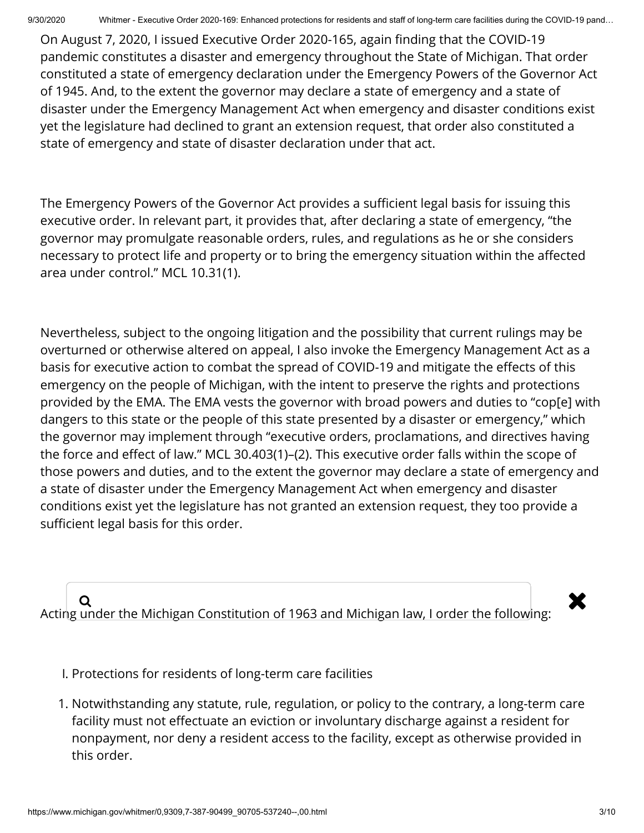On August 7, 2020, I issued Executive Order 2020-165, again finding that the COVID-19 pandemic constitutes a disaster and emergency throughout the State of Michigan. That order constituted a state of emergency declaration under the Emergency Powers of the Governor Act of 1945. And, to the extent the governor may declare a state of emergency and a state of disaster under the Emergency Management Act when emergency and disaster conditions exist yet the legislature had declined to grant an extension request, that order also constituted a state of emergency and state of disaster declaration under that act.

The Emergency Powers of the Governor Act provides a sufficient legal basis for issuing this executive order. In relevant part, it provides that, after declaring a state of emergency, "the governor may promulgate reasonable orders, rules, and regulations as he or she considers necessary to protect life and property or to bring the emergency situation within the affected area under control." MCL 10.31(1).

Nevertheless, subject to the ongoing litigation and the possibility that current rulings may be overturned or otherwise altered on appeal, I also invoke the Emergency Management Act as a basis for executive action to combat the spread of COVID-19 and mitigate the effects of this emergency on the people of Michigan, with the intent to preserve the rights and protections provided by the EMA. The EMA vests the governor with broad powers and duties to "cop[e] with dangers to this state or the people of this state presented by a disaster or emergency," which the governor may implement through "executive orders, proclamations, and directives having the force and effect of law." MCL 30.403(1)–(2). This executive order falls within the scope of those powers and duties, and to the extent the governor may declare a state of emergency and a state of disaster under the Emergency Management Act when emergency and disaster conditions exist yet the legislature has not granted an extension request, they too provide a sufficient legal basis for this order.

# $\overline{\mathbf{Q}}$   $\overline{\mathbf{Q}}$  Acting under the Michigan Constitution of 1963 and Michigan law, I order the following:

- I. Protections for residents of long-term care facilities
- 1. Notwithstanding any statute, rule, regulation, or policy to the contrary, a long-term care facility must not effectuate an eviction or involuntary discharge against a resident for nonpayment, nor deny a resident access to the facility, except as otherwise provided in this order.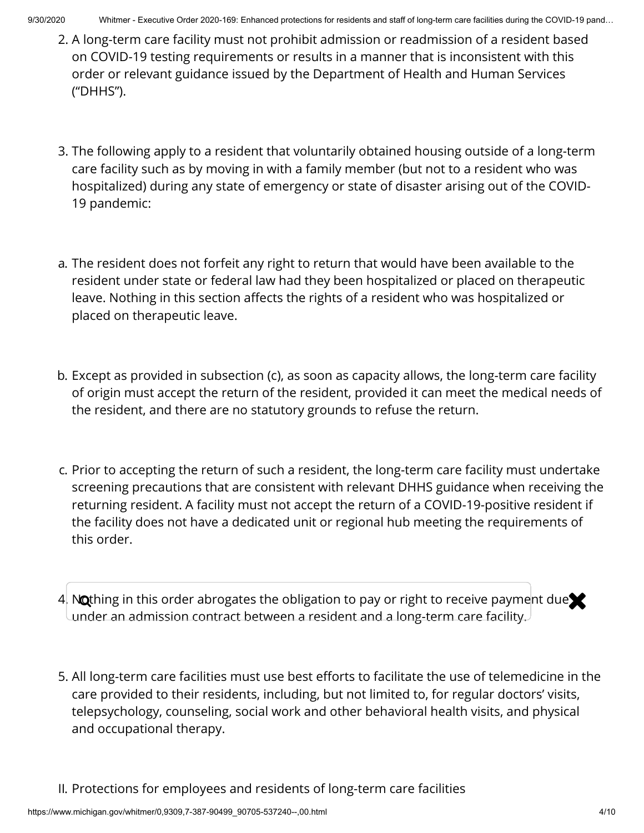- 2. A long-term care facility must not prohibit admission or readmission of a resident based on COVID-19 testing requirements or results in a manner that is inconsistent with this order or relevant guidance issued by the Department of Health and Human Services ("DHHS").
- 3. The following apply to a resident that voluntarily obtained housing outside of a long-term care facility such as by moving in with a family member (but not to a resident who was hospitalized) during any state of emergency or state of disaster arising out of the COVID-19 pandemic:
- a. The resident does not forfeit any right to return that would have been available to the resident under state or federal law had they been hospitalized or placed on therapeutic leave. Nothing in this section affects the rights of a resident who was hospitalized or placed on therapeutic leave.
- b. Except as provided in subsection (c), as soon as capacity allows, the long-term care facility of origin must accept the return of the resident, provided it can meet the medical needs of the resident, and there are no statutory grounds to refuse the return.
- c. Prior to accepting the return of such a resident, the long-term care facility must undertake screening precautions that are consistent with relevant DHHS guidance when receiving the returning resident. A facility must not accept the return of a COVID-19-positive resident if the facility does not have a dedicated unit or regional hub meeting the requirements of this order.
- 4. Nothing in this order abrogates the obligation to pay or right to receive payment due under an admission contract between a resident and a long-term care facility.
- 5. All long-term care facilities must use best efforts to facilitate the use of telemedicine in the care provided to their residents, including, but not limited to, for regular doctors' visits, telepsychology, counseling, social work and other behavioral health visits, and physical and occupational therapy.
- II. Protections for employees and residents of long-term care facilities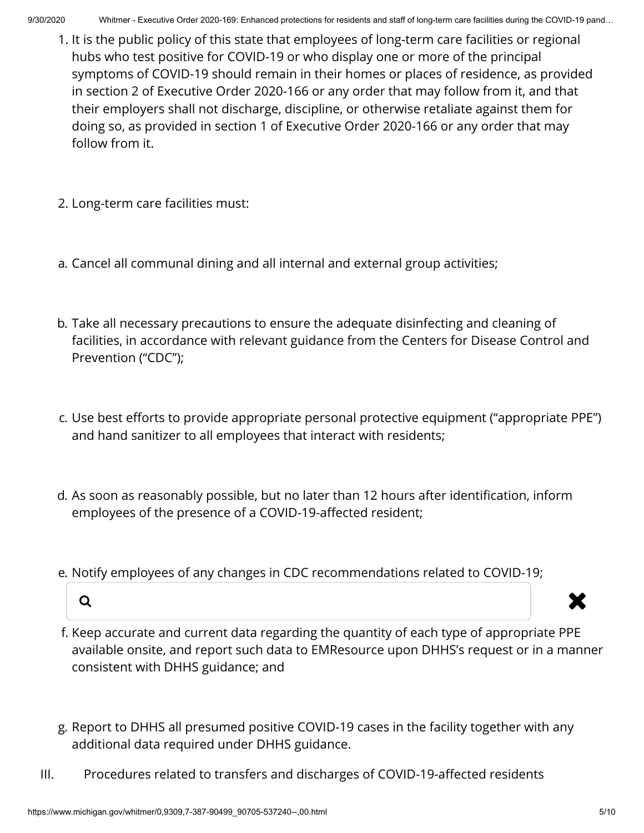- 1. It is the public policy of this state that employees of long-term care facilities or regional hubs who test positive for COVID-19 or who display one or more of the principal symptoms of COVID-19 should remain in their homes or places of residence, as provided in section 2 of Executive Order 2020-166 or any order that may follow from it, and that their employers shall not discharge, discipline, or otherwise retaliate against them for doing so, as provided in section 1 of Executive Order 2020-166 or any order that may follow from it.
- 2. Long-term care facilities must:
- a. Cancel all communal dining and all internal and external group activities;
- b. Take all necessary precautions to ensure the adequate disinfecting and cleaning of facilities, in accordance with relevant guidance from the Centers for Disease Control and Prevention ("CDC");
- c. Use best efforts to provide appropriate personal protective equipment ("appropriate PPE") and hand sanitizer to all employees that interact with residents;
- d. As soon as reasonably possible, but no later than 12 hours after identification, inform employees of the presence of a COVID-19-affected resident;
- e. Notify employees of any changes in CDC recommendations related to COVID-19;





- f. Keep accurate and current data regarding the quantity of each type of appropriate PPE available onsite, and report such data to EMResource upon DHHS's request or in a manner consistent with DHHS guidance; and
- g. Report to DHHS all presumed positive COVID-19 cases in the facility together with any additional data required under DHHS guidance.
- III. Procedures related to transfers and discharges of COVID-19-affected residents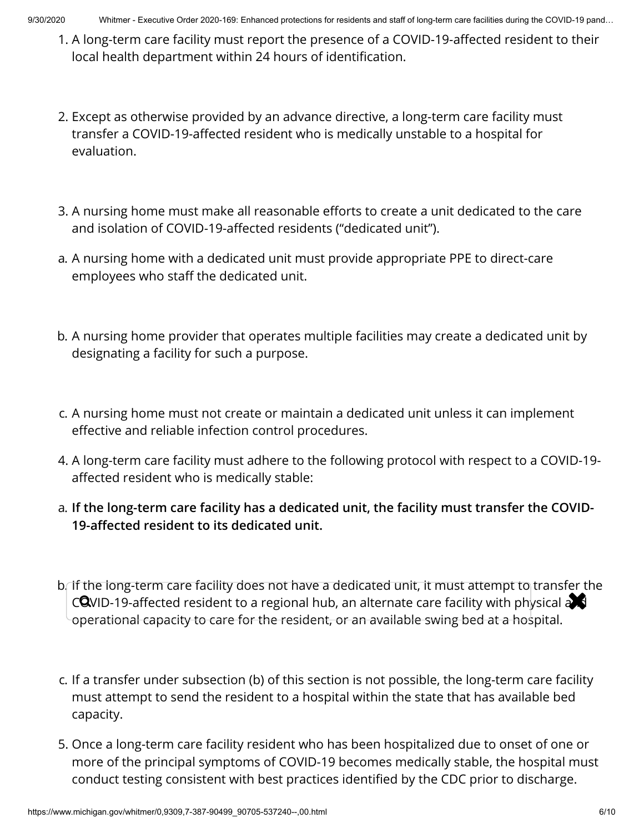- 1. A long-term care facility must report the presence of a COVID-19-affected resident to their local health department within 24 hours of identification.
- 2. Except as otherwise provided by an advance directive, a long-term care facility must transfer a COVID-19-affected resident who is medically unstable to a hospital for evaluation.
- 3. A nursing home must make all reasonable efforts to create a unit dedicated to the care and isolation of COVID-19-affected residents ("dedicated unit").
- a. A nursing home with a dedicated unit must provide appropriate PPE to direct-care employees who staff the dedicated unit.
- b. A nursing home provider that operates multiple facilities may create a dedicated unit by designating a facility for such a purpose.
- c. A nursing home must not create or maintain a dedicated unit unless it can implement effective and reliable infection control procedures.
- 4. A long-term care facility must adhere to the following protocol with respect to a COVID-19 affected resident who is medically stable:
- a. **If the long-term care facility has a dedicated unit, the facility must transfer the COVID-**19-affected resident to its dedicated unit.
- b. If the long-term care facility does not have a dedicated unit, it must attempt to transfer the **CO**VID-19-affected resident to a regional hub, an alternate care facility with physical and operational capacity to care for the resident, or an available swing bed at a hospital.
- c. If a transfer under subsection (b) of this section is not possible, the long-term care facility must attempt to send the resident to a hospital within the state that has available bed capacity.
- 5. Once a long-term care facility resident who has been hospitalized due to onset of one or more of the principal symptoms of COVID-19 becomes medically stable, the hospital must conduct testing consistent with best practices identified by the CDC prior to discharge.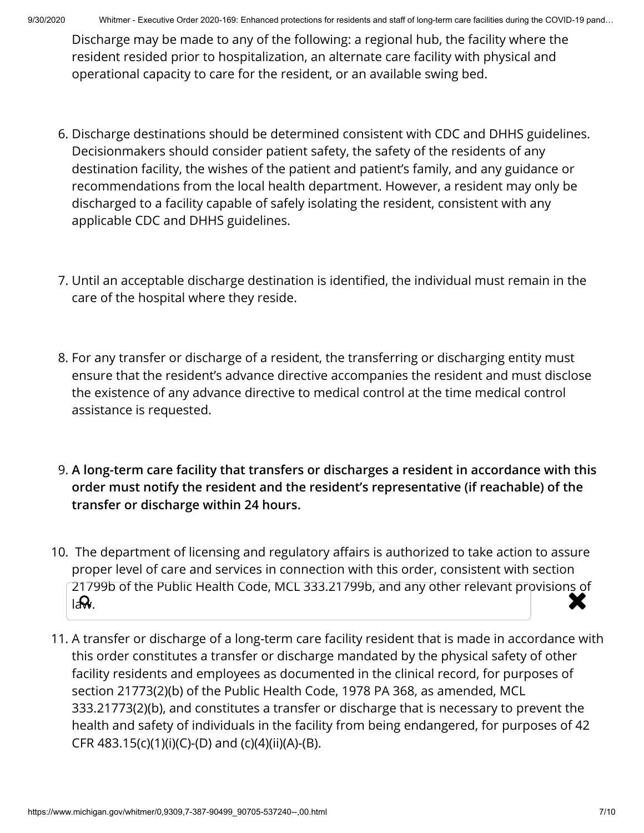Discharge may be made to any of the following: a regional hub, the facility where the resident resided prior to hospitalization, an alternate care facility with physical and operational capacity to care for the resident, or an available swing bed.

- 6. Discharge destinations should be determined consistent with CDC and DHHS guidelines. Decisionmakers should consider patient safety, the safety of the residents of any destination facility, the wishes of the patient and patient's family, and any guidance or recommendations from the local health department. However, a resident may only be discharged to a facility capable of safely isolating the resident, consistent with any applicable CDC and DHHS guidelines.
- 7. Until an acceptable discharge destination is identified, the individual must remain in the care of the hospital where they reside.
- 8. For any transfer or discharge of a resident, the transferring or discharging entity must ensure that the resident's advance directive accompanies the resident and must disclose the existence of any advance directive to medical control at the time medical control assistance is requested.
- 9. **A long-term care facility that transfers or discharges a resident in accordance with this order must notify the resident and the resident's representative (if reachable) of the transfer or discharge within 24 hours.**
- 10. The department of licensing and regulatory affairs is authorized to take action to assure proper level of care and services in connection with this order, consistent with section 21799b of the Public Health Code, MCL 333.21799b, and any other relevant provisions of  $\blacktriangleright$  $\mathsf{I} \mathsf{R} \mathsf{R}$ .
- 11. A transfer or discharge of a long-term care facility resident that is made in accordance with this order constitutes a transfer or discharge mandated by the physical safety of other facility residents and employees as documented in the clinical record, for purposes of section 21773(2)(b) of the Public Health Code, 1978 PA 368, as amended, MCL 333.21773(2)(b), and constitutes a transfer or discharge that is necessary to prevent the health and safety of individuals in the facility from being endangered, for purposes of 42 CFR 483.15(c)(1)(i)(C)-(D) and (c)(4)(ii)(A)-(B).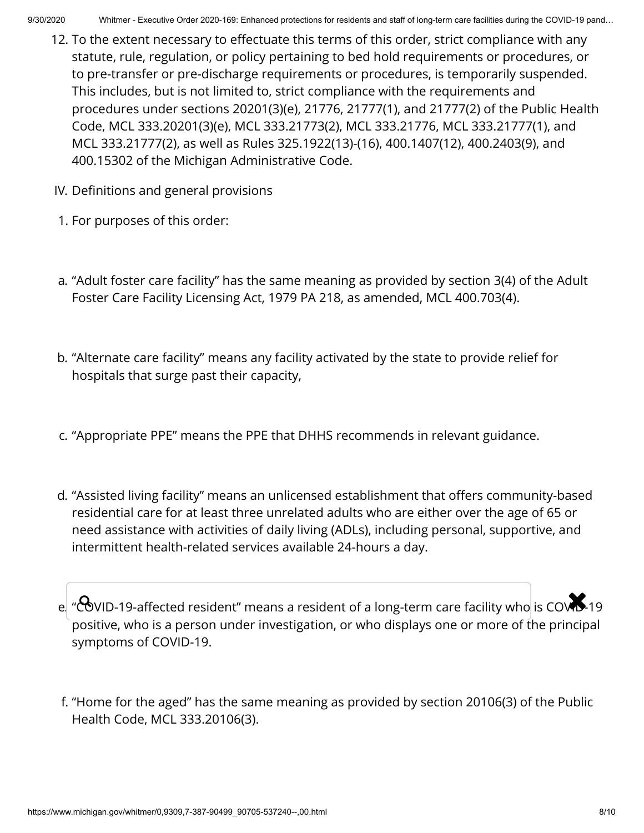- 12. To the extent necessary to effectuate this terms of this order, strict compliance with any statute, rule, regulation, or policy pertaining to bed hold requirements or procedures, or to pre-transfer or pre-discharge requirements or procedures, is temporarily suspended. This includes, but is not limited to, strict compliance with the requirements and procedures under sections 20201(3)(e), 21776, 21777(1), and 21777(2) of the Public Health Code, MCL 333.20201(3)(e), MCL 333.21773(2), MCL 333.21776, MCL 333.21777(1), and MCL 333.21777(2), as well as Rules 325.1922(13)-(16), 400.1407(12), 400.2403(9), and 400.15302 of the Michigan Administrative Code.
- IV. Definitions and general provisions
- 1. For purposes of this order:
- a. "Adult foster care facility" has the same meaning as provided by section 3(4) of the Adult Foster Care Facility Licensing Act, 1979 PA 218, as amended, MCL 400.703(4).
- b. "Alternate care facility" means any facility activated by the state to provide relief for hospitals that surge past their capacity,
- c. "Appropriate PPE" means the PPE that DHHS recommends in relevant guidance.
- d. "Assisted living facility" means an unlicensed establishment that offers community-based residential care for at least three unrelated adults who are either over the age of 65 or need assistance with activities of daily living (ADLs), including personal, supportive, and intermittent health-related services available 24-hours a day.

e. "COVID-19-affected resident" means a resident of a long-term care facility who is COVO-19 positive, who is a person under investigation, or who displays one or more of the principal symptoms of COVID-19.

f. "Home for the aged" has the same meaning as provided by section 20106(3) of the Public Health Code, MCL 333.20106(3).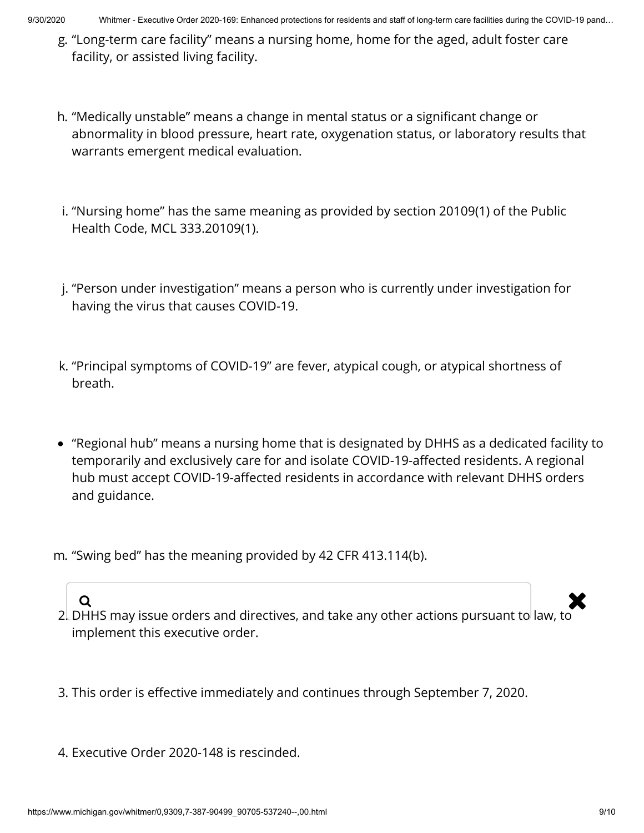- g. "Long-term care facility" means a nursing home, home for the aged, adult foster care facility, or assisted living facility.
- h. "Medically unstable" means a change in mental status or a significant change or abnormality in blood pressure, heart rate, oxygenation status, or laboratory results that warrants emergent medical evaluation.
- i. "Nursing home" has the same meaning as provided by section 20109(1) of the Public Health Code, MCL 333.20109(1).
- j. "Person under investigation" means a person who is currently under investigation for having the virus that causes COVID-19.
- k. "Principal symptoms of COVID-19" are fever, atypical cough, or atypical shortness of breath.
- "Regional hub" means a nursing home that is designated by DHHS as a dedicated facility to temporarily and exclusively care for and isolate COVID-19-affected residents. A regional hub must accept COVID-19-affected residents in accordance with relevant DHHS orders and guidance.
- m. "Swing bed" has the meaning provided by 42 CFR 413.114(b).

- 2. DHHS may issue orders and directives, and take any other actions pursuant to law, to implement this executive order.  $Q$
- 3. This order is effective immediately and continues through September 7, 2020.
- 4. Executive Order 2020-148 is rescinded.